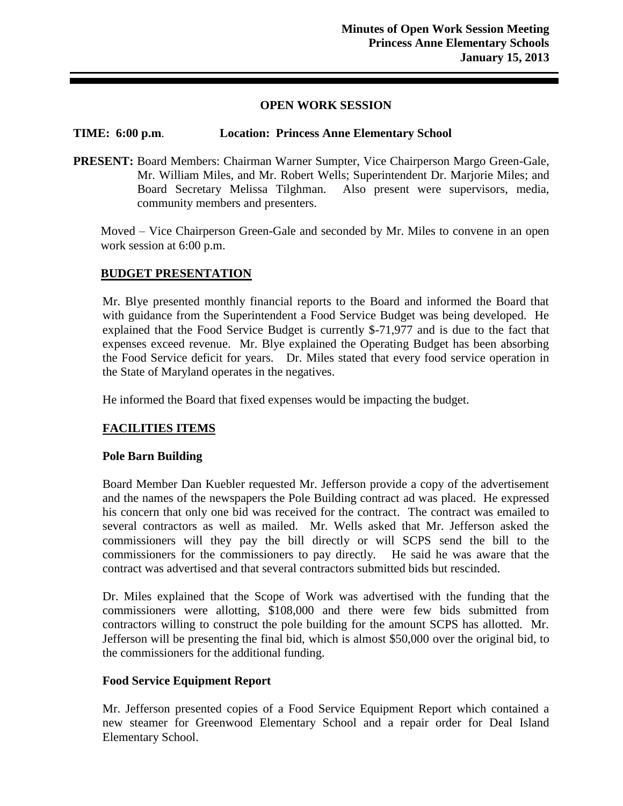### **OPEN WORK SESSION**

## **TIME: 6:00 p.m**. **Location: Princess Anne Elementary School**

**PRESENT:** Board Members: Chairman Warner Sumpter, Vice Chairperson Margo Green-Gale, Mr. William Miles, and Mr. Robert Wells; Superintendent Dr. Marjorie Miles; and Board Secretary Melissa Tilghman. Also present were supervisors, media, community members and presenters.

Moved – Vice Chairperson Green-Gale and seconded by Mr. Miles to convene in an open work session at 6:00 p.m.

### **BUDGET PRESENTATION**

Mr. Blye presented monthly financial reports to the Board and informed the Board that with guidance from the Superintendent a Food Service Budget was being developed. He explained that the Food Service Budget is currently \$-71,977 and is due to the fact that expenses exceed revenue. Mr. Blye explained the Operating Budget has been absorbing the Food Service deficit for years. Dr. Miles stated that every food service operation in the State of Maryland operates in the negatives.

He informed the Board that fixed expenses would be impacting the budget.

# **FACILITIES ITEMS**

### **Pole Barn Building**

Board Member Dan Kuebler requested Mr. Jefferson provide a copy of the advertisement and the names of the newspapers the Pole Building contract ad was placed. He expressed his concern that only one bid was received for the contract. The contract was emailed to several contractors as well as mailed. Mr. Wells asked that Mr. Jefferson asked the commissioners will they pay the bill directly or will SCPS send the bill to the commissioners for the commissioners to pay directly. He said he was aware that the contract was advertised and that several contractors submitted bids but rescinded.

Dr. Miles explained that the Scope of Work was advertised with the funding that the commissioners were allotting, \$108,000 and there were few bids submitted from contractors willing to construct the pole building for the amount SCPS has allotted. Mr. Jefferson will be presenting the final bid, which is almost \$50,000 over the original bid, to the commissioners for the additional funding.

### **Food Service Equipment Report**

Mr. Jefferson presented copies of a Food Service Equipment Report which contained a new steamer for Greenwood Elementary School and a repair order for Deal Island Elementary School.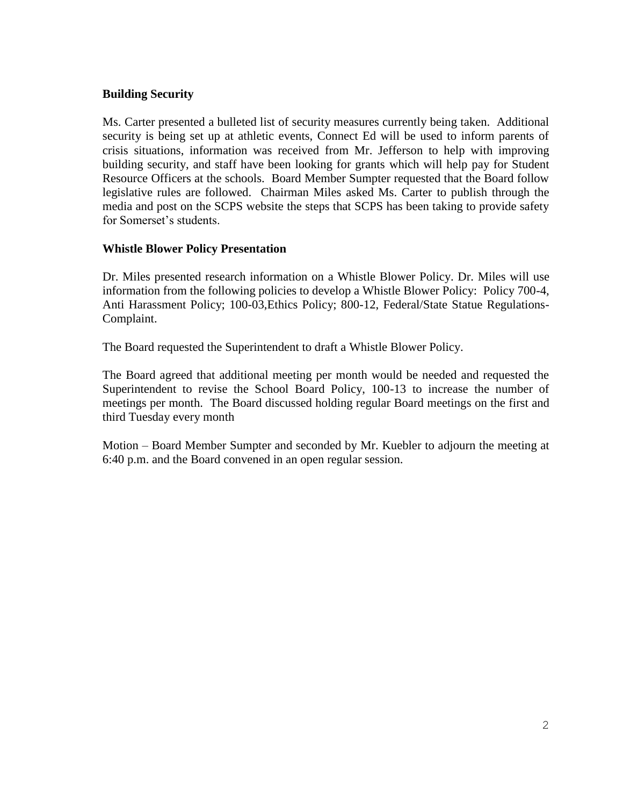## **Building Security**

Ms. Carter presented a bulleted list of security measures currently being taken. Additional security is being set up at athletic events, Connect Ed will be used to inform parents of crisis situations, information was received from Mr. Jefferson to help with improving building security, and staff have been looking for grants which will help pay for Student Resource Officers at the schools. Board Member Sumpter requested that the Board follow legislative rules are followed. Chairman Miles asked Ms. Carter to publish through the media and post on the SCPS website the steps that SCPS has been taking to provide safety for Somerset's students.

### **Whistle Blower Policy Presentation**

Dr. Miles presented research information on a Whistle Blower Policy. Dr. Miles will use information from the following policies to develop a Whistle Blower Policy: Policy 700-4, Anti Harassment Policy; 100-03,Ethics Policy; 800-12, Federal/State Statue Regulations-Complaint.

The Board requested the Superintendent to draft a Whistle Blower Policy.

The Board agreed that additional meeting per month would be needed and requested the Superintendent to revise the School Board Policy, 100-13 to increase the number of meetings per month. The Board discussed holding regular Board meetings on the first and third Tuesday every month

Motion – Board Member Sumpter and seconded by Mr. Kuebler to adjourn the meeting at 6:40 p.m. and the Board convened in an open regular session.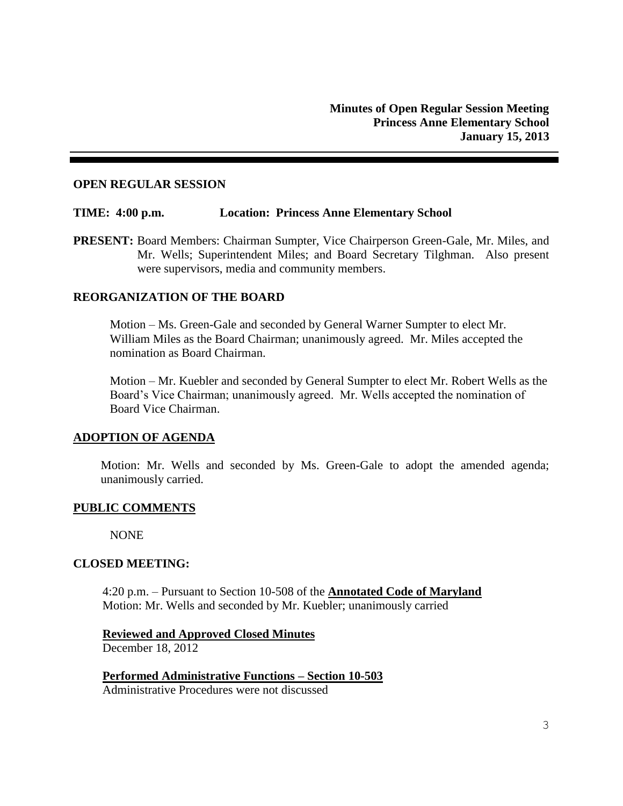### **OPEN REGULAR SESSION**

### **TIME: 4:00 p.m. Location: Princess Anne Elementary School**

**PRESENT:** Board Members: Chairman Sumpter, Vice Chairperson Green-Gale, Mr. Miles, and Mr. Wells; Superintendent Miles; and Board Secretary Tilghman. Also present were supervisors, media and community members.

### **REORGANIZATION OF THE BOARD**

Motion – Ms. Green-Gale and seconded by General Warner Sumpter to elect Mr. William Miles as the Board Chairman; unanimously agreed. Mr. Miles accepted the nomination as Board Chairman.

Motion – Mr. Kuebler and seconded by General Sumpter to elect Mr. Robert Wells as the Board's Vice Chairman; unanimously agreed. Mr. Wells accepted the nomination of Board Vice Chairman.

### **ADOPTION OF AGENDA**

Motion: Mr. Wells and seconded by Ms. Green-Gale to adopt the amended agenda; unanimously carried.

### **PUBLIC COMMENTS**

NONE

### **CLOSED MEETING:**

4:20 p.m. – Pursuant to Section 10-508 of the **Annotated Code of Maryland** Motion: Mr. Wells and seconded by Mr. Kuebler; unanimously carried

**Reviewed and Approved Closed Minutes** December 18, 2012

**Performed Administrative Functions – Section 10-503** Administrative Procedures were not discussed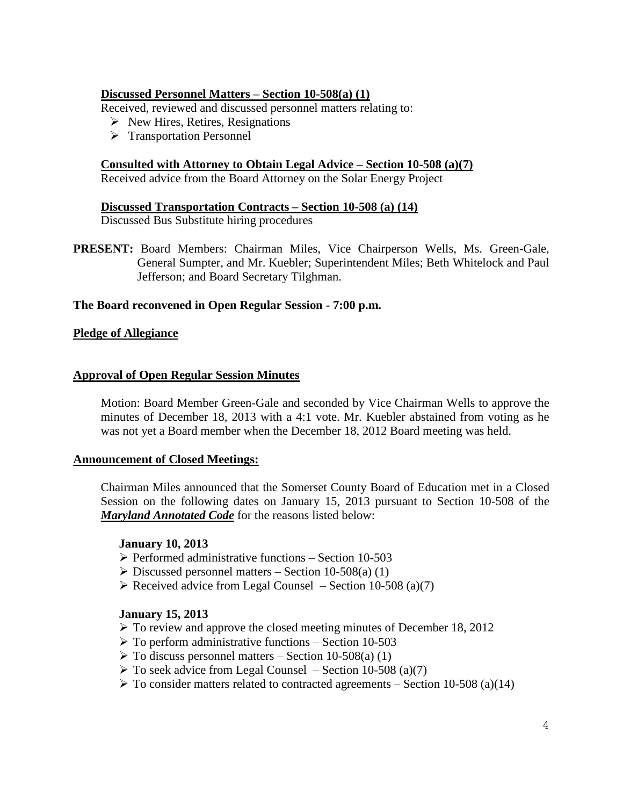## **Discussed Personnel Matters – Section 10-508(a) (1)**

Received, reviewed and discussed personnel matters relating to:

- $\triangleright$  New Hires, Retires, Resignations
- > Transportation Personnel

## **Consulted with Attorney to Obtain Legal Advice – Section 10-508 (a)(7)**

Received advice from the Board Attorney on the Solar Energy Project

### **Discussed Transportation Contracts – Section 10-508 (a) (14)**

Discussed Bus Substitute hiring procedures

**PRESENT:** Board Members: Chairman Miles, Vice Chairperson Wells, Ms. Green-Gale, General Sumpter, and Mr. Kuebler; Superintendent Miles; Beth Whitelock and Paul Jefferson; and Board Secretary Tilghman.

### **The Board reconvened in Open Regular Session - 7:00 p.m.**

### **Pledge of Allegiance**

### **Approval of Open Regular Session Minutes**

Motion: Board Member Green-Gale and seconded by Vice Chairman Wells to approve the minutes of December 18, 2013 with a 4:1 vote. Mr. Kuebler abstained from voting as he was not yet a Board member when the December 18, 2012 Board meeting was held.

### **Announcement of Closed Meetings:**

Chairman Miles announced that the Somerset County Board of Education met in a Closed Session on the following dates on January 15, 2013 pursuant to Section 10-508 of the *Maryland Annotated Code* for the reasons listed below:

### **January 10, 2013**

- $\triangleright$  Performed administrative functions Section 10-503
- $\triangleright$  Discussed personnel matters Section 10-508(a) (1)
- $\triangleright$  Received advice from Legal Counsel Section 10-508 (a)(7)

### **January 15, 2013**

- $\triangleright$  To review and approve the closed meeting minutes of December 18, 2012
- $\triangleright$  To perform administrative functions Section 10-503
- $\triangleright$  To discuss personnel matters Section 10-508(a) (1)
- $\triangleright$  To seek advice from Legal Counsel Section 10-508 (a)(7)
- $\triangleright$  To consider matters related to contracted agreements Section 10-508 (a)(14)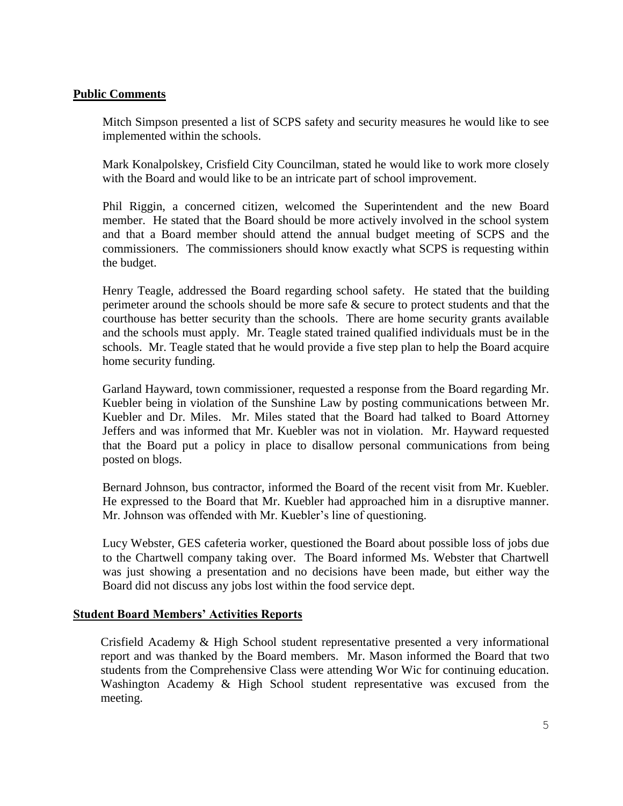## **Public Comments**

Mitch Simpson presented a list of SCPS safety and security measures he would like to see implemented within the schools.

Mark Konalpolskey, Crisfield City Councilman, stated he would like to work more closely with the Board and would like to be an intricate part of school improvement.

Phil Riggin, a concerned citizen, welcomed the Superintendent and the new Board member. He stated that the Board should be more actively involved in the school system and that a Board member should attend the annual budget meeting of SCPS and the commissioners. The commissioners should know exactly what SCPS is requesting within the budget.

Henry Teagle, addressed the Board regarding school safety. He stated that the building perimeter around the schools should be more safe & secure to protect students and that the courthouse has better security than the schools. There are home security grants available and the schools must apply. Mr. Teagle stated trained qualified individuals must be in the schools. Mr. Teagle stated that he would provide a five step plan to help the Board acquire home security funding.

Garland Hayward, town commissioner, requested a response from the Board regarding Mr. Kuebler being in violation of the Sunshine Law by posting communications between Mr. Kuebler and Dr. Miles. Mr. Miles stated that the Board had talked to Board Attorney Jeffers and was informed that Mr. Kuebler was not in violation. Mr. Hayward requested that the Board put a policy in place to disallow personal communications from being posted on blogs.

Bernard Johnson, bus contractor, informed the Board of the recent visit from Mr. Kuebler. He expressed to the Board that Mr. Kuebler had approached him in a disruptive manner. Mr. Johnson was offended with Mr. Kuebler's line of questioning.

Lucy Webster, GES cafeteria worker, questioned the Board about possible loss of jobs due to the Chartwell company taking over. The Board informed Ms. Webster that Chartwell was just showing a presentation and no decisions have been made, but either way the Board did not discuss any jobs lost within the food service dept.

### **Student Board Members' Activities Reports**

Crisfield Academy & High School student representative presented a very informational report and was thanked by the Board members. Mr. Mason informed the Board that two students from the Comprehensive Class were attending Wor Wic for continuing education. Washington Academy & High School student representative was excused from the meeting.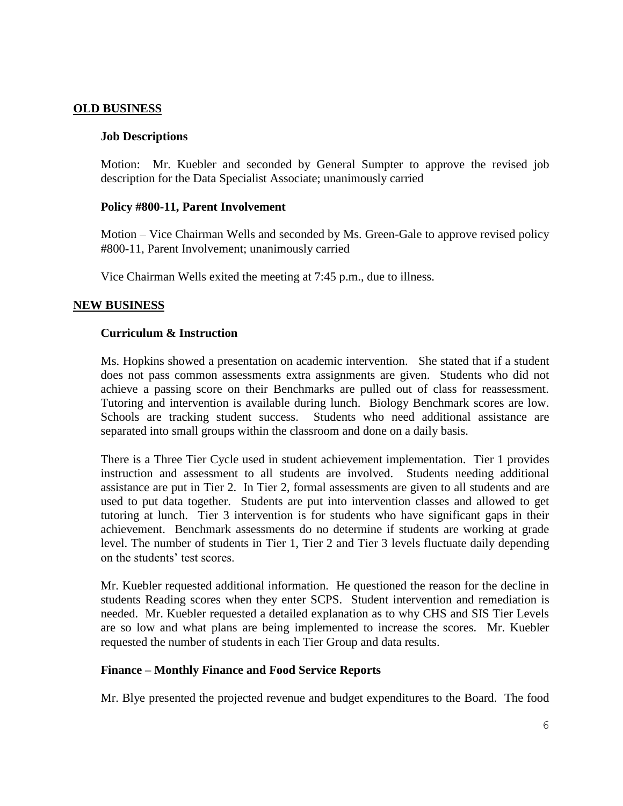### **OLD BUSINESS**

### **Job Descriptions**

Motion: Mr. Kuebler and seconded by General Sumpter to approve the revised job description for the Data Specialist Associate; unanimously carried

### **Policy #800-11, Parent Involvement**

Motion – Vice Chairman Wells and seconded by Ms. Green-Gale to approve revised policy #800-11, Parent Involvement; unanimously carried

Vice Chairman Wells exited the meeting at 7:45 p.m., due to illness.

### **NEW BUSINESS**

### **Curriculum & Instruction**

Ms. Hopkins showed a presentation on academic intervention. She stated that if a student does not pass common assessments extra assignments are given. Students who did not achieve a passing score on their Benchmarks are pulled out of class for reassessment. Tutoring and intervention is available during lunch. Biology Benchmark scores are low. Schools are tracking student success. Students who need additional assistance are separated into small groups within the classroom and done on a daily basis.

There is a Three Tier Cycle used in student achievement implementation. Tier 1 provides instruction and assessment to all students are involved. Students needing additional assistance are put in Tier 2. In Tier 2, formal assessments are given to all students and are used to put data together. Students are put into intervention classes and allowed to get tutoring at lunch. Tier 3 intervention is for students who have significant gaps in their achievement. Benchmark assessments do no determine if students are working at grade level. The number of students in Tier 1, Tier 2 and Tier 3 levels fluctuate daily depending on the students' test scores.

Mr. Kuebler requested additional information. He questioned the reason for the decline in students Reading scores when they enter SCPS. Student intervention and remediation is needed. Mr. Kuebler requested a detailed explanation as to why CHS and SIS Tier Levels are so low and what plans are being implemented to increase the scores. Mr. Kuebler requested the number of students in each Tier Group and data results.

### **Finance – Monthly Finance and Food Service Reports**

Mr. Blye presented the projected revenue and budget expenditures to the Board. The food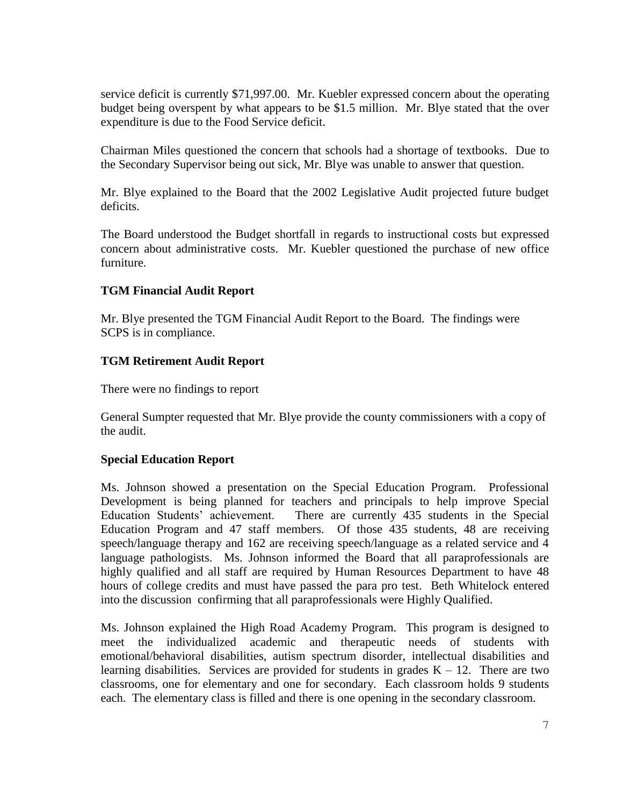service deficit is currently \$71,997.00. Mr. Kuebler expressed concern about the operating budget being overspent by what appears to be \$1.5 million. Mr. Blye stated that the over expenditure is due to the Food Service deficit.

Chairman Miles questioned the concern that schools had a shortage of textbooks. Due to the Secondary Supervisor being out sick, Mr. Blye was unable to answer that question.

Mr. Blye explained to the Board that the 2002 Legislative Audit projected future budget deficits.

The Board understood the Budget shortfall in regards to instructional costs but expressed concern about administrative costs. Mr. Kuebler questioned the purchase of new office furniture.

## **TGM Financial Audit Report**

Mr. Blye presented the TGM Financial Audit Report to the Board. The findings were SCPS is in compliance.

## **TGM Retirement Audit Report**

There were no findings to report

General Sumpter requested that Mr. Blye provide the county commissioners with a copy of the audit.

### **Special Education Report**

Ms. Johnson showed a presentation on the Special Education Program. Professional Development is being planned for teachers and principals to help improve Special Education Students' achievement. There are currently 435 students in the Special Education Program and 47 staff members. Of those 435 students, 48 are receiving speech/language therapy and 162 are receiving speech/language as a related service and 4 language pathologists. Ms. Johnson informed the Board that all paraprofessionals are highly qualified and all staff are required by Human Resources Department to have 48 hours of college credits and must have passed the para pro test. Beth Whitelock entered into the discussion confirming that all paraprofessionals were Highly Qualified.

Ms. Johnson explained the High Road Academy Program. This program is designed to meet the individualized academic and therapeutic needs of students with emotional/behavioral disabilities, autism spectrum disorder, intellectual disabilities and learning disabilities. Services are provided for students in grades  $K - 12$ . There are two classrooms, one for elementary and one for secondary. Each classroom holds 9 students each. The elementary class is filled and there is one opening in the secondary classroom.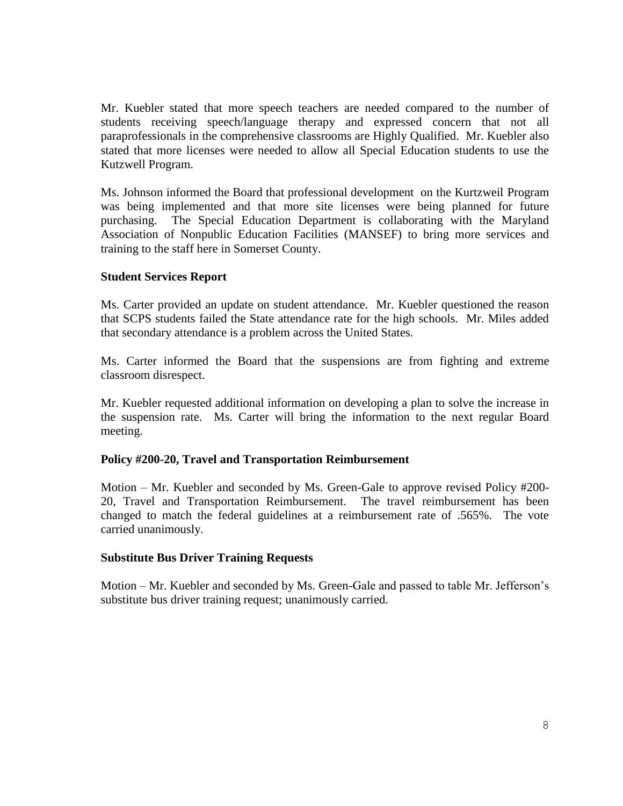Mr. Kuebler stated that more speech teachers are needed compared to the number of students receiving speech/language therapy and expressed concern that not all paraprofessionals in the comprehensive classrooms are Highly Qualified. Mr. Kuebler also stated that more licenses were needed to allow all Special Education students to use the Kutzwell Program.

Ms. Johnson informed the Board that professional development on the Kurtzweil Program was being implemented and that more site licenses were being planned for future purchasing. The Special Education Department is collaborating with the Maryland Association of Nonpublic Education Facilities (MANSEF) to bring more services and training to the staff here in Somerset County.

### **Student Services Report**

Ms. Carter provided an update on student attendance. Mr. Kuebler questioned the reason that SCPS students failed the State attendance rate for the high schools. Mr. Miles added that secondary attendance is a problem across the United States.

Ms. Carter informed the Board that the suspensions are from fighting and extreme classroom disrespect.

Mr. Kuebler requested additional information on developing a plan to solve the increase in the suspension rate. Ms. Carter will bring the information to the next regular Board meeting.

### **Policy #200-20, Travel and Transportation Reimbursement**

Motion – Mr. Kuebler and seconded by Ms. Green-Gale to approve revised Policy #200- 20, Travel and Transportation Reimbursement. The travel reimbursement has been changed to match the federal guidelines at a reimbursement rate of .565%. The vote carried unanimously.

### **Substitute Bus Driver Training Requests**

Motion – Mr. Kuebler and seconded by Ms. Green-Gale and passed to table Mr. Jefferson's substitute bus driver training request; unanimously carried.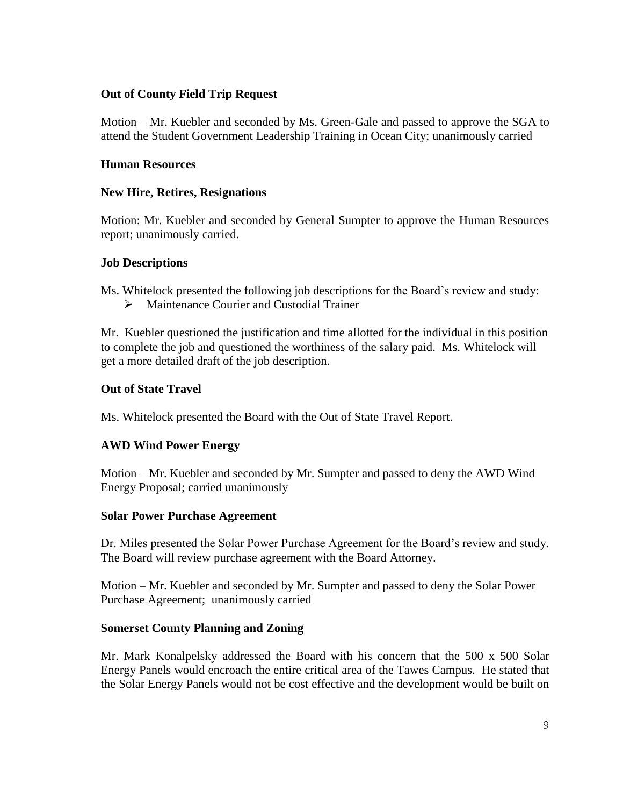# **Out of County Field Trip Request**

Motion – Mr. Kuebler and seconded by Ms. Green-Gale and passed to approve the SGA to attend the Student Government Leadership Training in Ocean City; unanimously carried

## **Human Resources**

## **New Hire, Retires, Resignations**

Motion: Mr. Kuebler and seconded by General Sumpter to approve the Human Resources report; unanimously carried.

### **Job Descriptions**

Ms. Whitelock presented the following job descriptions for the Board's review and study:

 $\triangleright$  Maintenance Courier and Custodial Trainer

Mr. Kuebler questioned the justification and time allotted for the individual in this position to complete the job and questioned the worthiness of the salary paid. Ms. Whitelock will get a more detailed draft of the job description.

## **Out of State Travel**

Ms. Whitelock presented the Board with the Out of State Travel Report.

# **AWD Wind Power Energy**

Motion – Mr. Kuebler and seconded by Mr. Sumpter and passed to deny the AWD Wind Energy Proposal; carried unanimously

### **Solar Power Purchase Agreement**

Dr. Miles presented the Solar Power Purchase Agreement for the Board's review and study. The Board will review purchase agreement with the Board Attorney.

Motion – Mr. Kuebler and seconded by Mr. Sumpter and passed to deny the Solar Power Purchase Agreement; unanimously carried

### **Somerset County Planning and Zoning**

Mr. Mark Konalpelsky addressed the Board with his concern that the 500 x 500 Solar Energy Panels would encroach the entire critical area of the Tawes Campus. He stated that the Solar Energy Panels would not be cost effective and the development would be built on